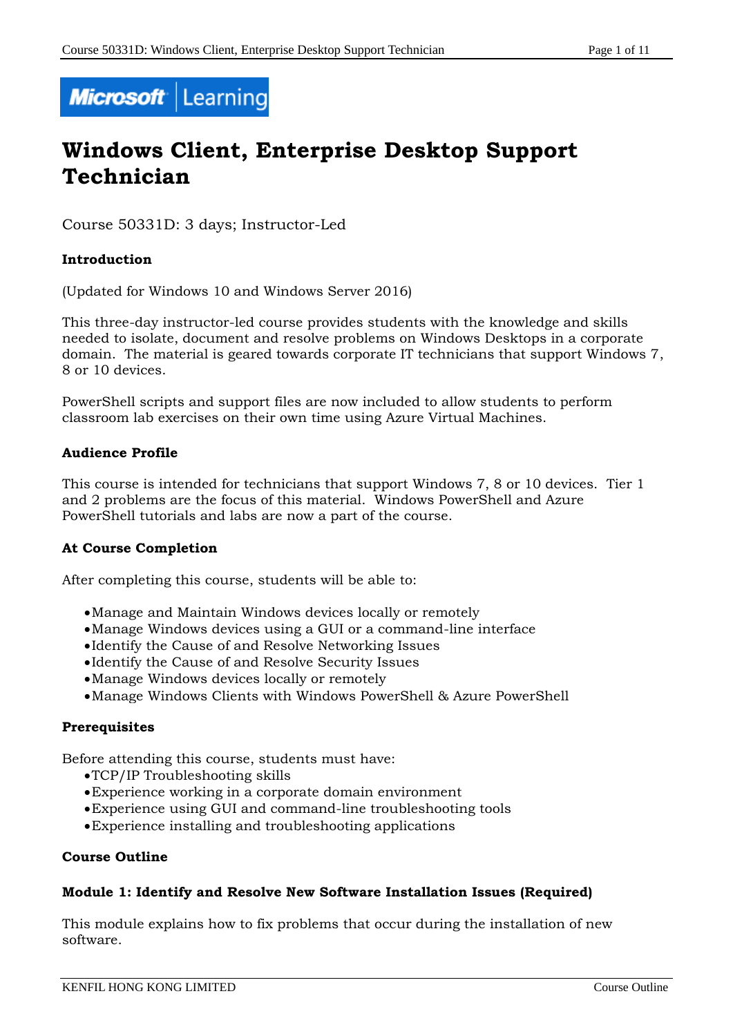

# **Windows Client, Enterprise Desktop Support Technician**

Course 50331D: 3 days; Instructor-Led

## **Introduction**

(Updated for Windows 10 and Windows Server 2016)

This three-day instructor-led course provides students with the knowledge and skills needed to isolate, document and resolve problems on Windows Desktops in a corporate domain. The material is geared towards corporate IT technicians that support Windows 7, 8 or 10 devices.

PowerShell scripts and support files are now included to allow students to perform classroom lab exercises on their own time using Azure Virtual Machines.

## **Audience Profile**

This course is intended for technicians that support Windows 7, 8 or 10 devices. Tier 1 and 2 problems are the focus of this material. Windows PowerShell and Azure PowerShell tutorials and labs are now a part of the course.

# **At Course Completion**

After completing this course, students will be able to:

- Manage and Maintain Windows devices locally or remotely
- Manage Windows devices using a GUI or a command-line interface
- Identify the Cause of and Resolve Networking Issues
- Identify the Cause of and Resolve Security Issues
- Manage Windows devices locally or remotely
- Manage Windows Clients with Windows PowerShell & Azure PowerShell

## **Prerequisites**

Before attending this course, students must have:

- TCP/IP Troubleshooting skills
- Experience working in a corporate domain environment
- Experience using GUI and command-line troubleshooting tools
- Experience installing and troubleshooting applications

## **Course Outline**

## **Module 1: Identify and Resolve New Software Installation Issues (Required)**

This module explains how to fix problems that occur during the installation of new software.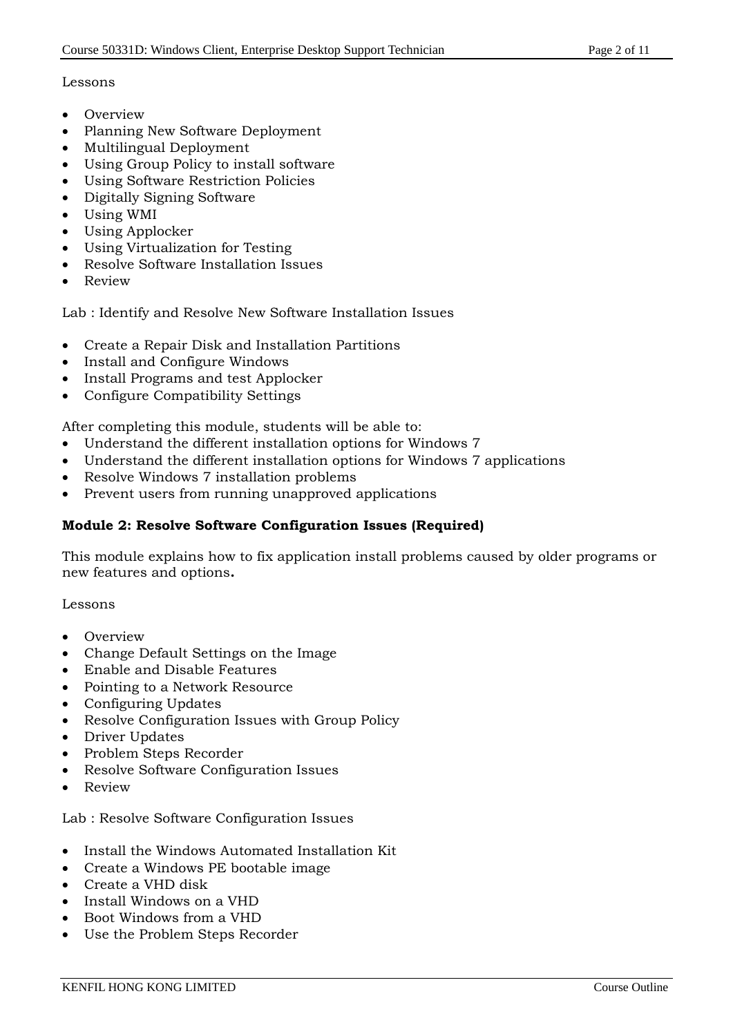# Lessons

- Overview
- Planning New Software Deployment
- Multilingual Deployment
- Using Group Policy to install software
- Using Software Restriction Policies
- Digitally Signing Software
- Using WMI
- Using Applocker
- Using Virtualization for Testing
- Resolve Software Installation Issues
- Review

Lab : Identify and Resolve New Software Installation Issues

- Create a Repair Disk and Installation Partitions
- Install and Configure Windows
- Install Programs and test Applocker
- Configure Compatibility Settings

After completing this module, students will be able to:

- Understand the different installation options for Windows 7
- Understand the different installation options for Windows 7 applications
- Resolve Windows 7 installation problems
- Prevent users from running unapproved applications

# **Module 2: Resolve Software Configuration Issues (Required)**

This module explains how to fix application install problems caused by older programs or new features and options**.**

## Lessons

- Overview
- Change Default Settings on the Image
- Enable and Disable Features
- Pointing to a Network Resource
- Configuring Updates
- Resolve Configuration Issues with Group Policy
- Driver Updates
- Problem Steps Recorder
- Resolve Software Configuration Issues
- Review

Lab : Resolve Software Configuration Issues

- Install the Windows Automated Installation Kit
- Create a Windows PE bootable image
- Create a VHD disk
- Install Windows on a VHD
- Boot Windows from a VHD
- Use the Problem Steps Recorder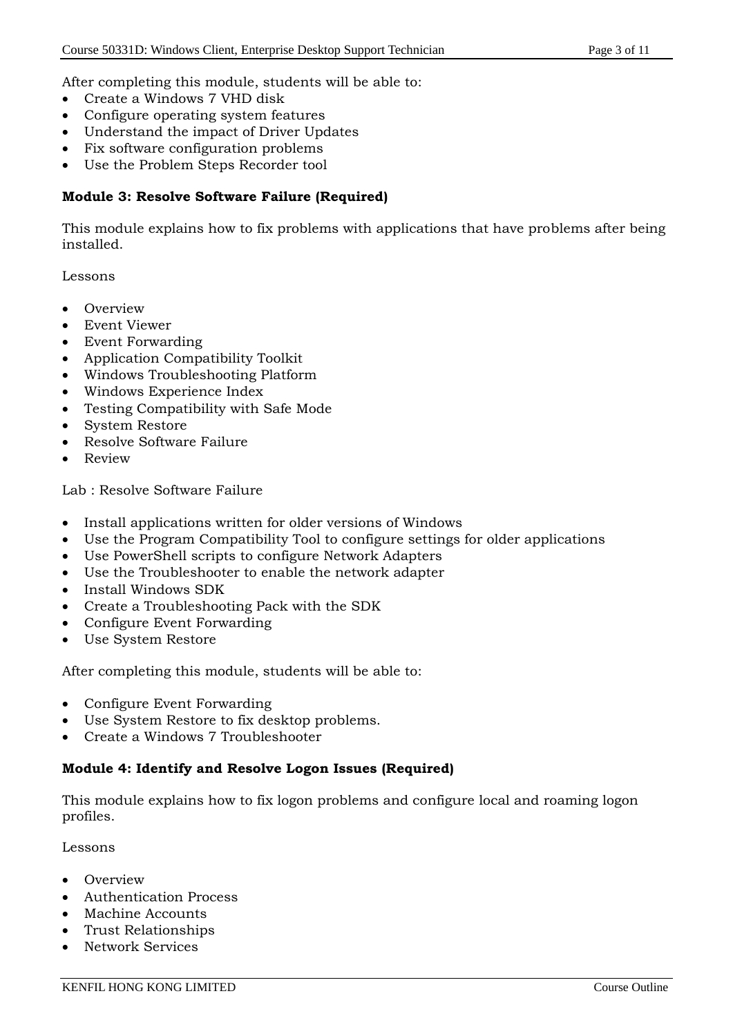After completing this module, students will be able to:

- Create a Windows 7 VHD disk
- Configure operating system features
- Understand the impact of Driver Updates
- Fix software configuration problems
- Use the Problem Steps Recorder tool

#### **Module 3: Resolve Software Failure (Required)**

This module explains how to fix problems with applications that have problems after being installed.

Lessons

- Overview
- Event Viewer
- Event Forwarding
- Application Compatibility Toolkit
- Windows Troubleshooting Platform
- Windows Experience Index
- Testing Compatibility with Safe Mode
- System Restore
- Resolve Software Failure
- Review

Lab : Resolve Software Failure

- Install applications written for older versions of Windows
- Use the Program Compatibility Tool to configure settings for older applications
- Use PowerShell scripts to configure Network Adapters
- Use the Troubleshooter to enable the network adapter
- Install Windows SDK
- Create a Troubleshooting Pack with the SDK
- Configure Event Forwarding
- Use System Restore

After completing this module, students will be able to:

- Configure Event Forwarding
- Use System Restore to fix desktop problems.
- Create a Windows 7 Troubleshooter

## **Module 4: Identify and Resolve Logon Issues (Required)**

This module explains how to fix logon problems and configure local and roaming logon profiles.

Lessons

- **Overview**
- Authentication Process
- Machine Accounts
- Trust Relationships
- Network Services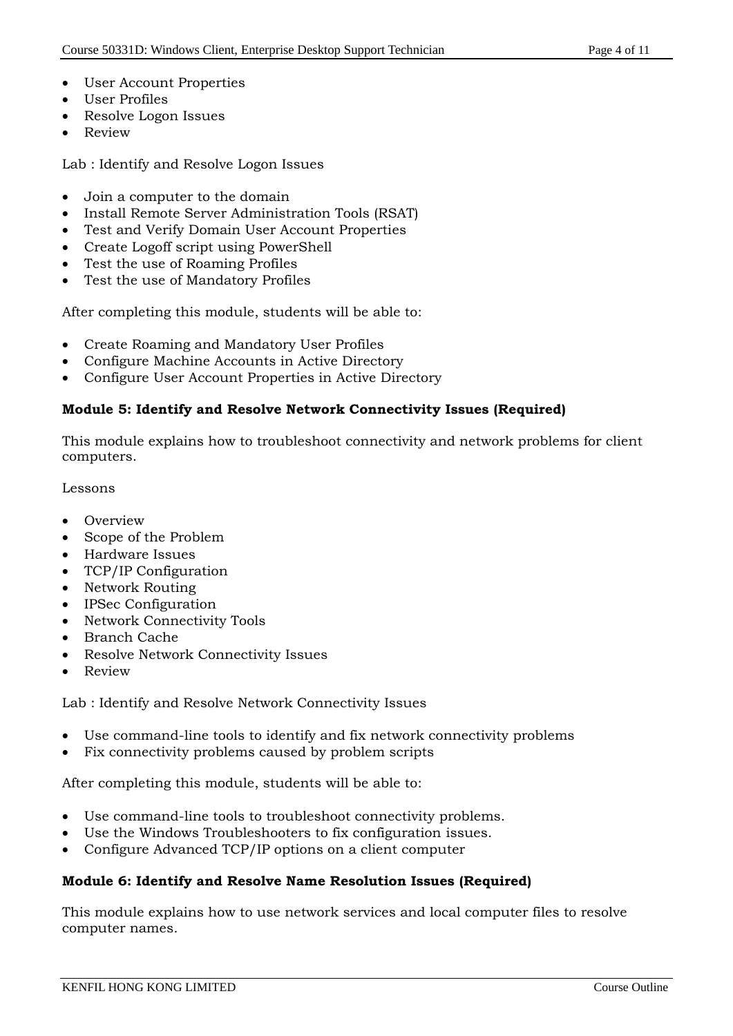- User Account Properties
- User Profiles
- Resolve Logon Issues
- Review

Lab : Identify and Resolve Logon Issues

- Join a computer to the domain
- Install Remote Server Administration Tools (RSAT)
- Test and Verify Domain User Account Properties
- Create Logoff script using PowerShell
- Test the use of Roaming Profiles
- Test the use of Mandatory Profiles

After completing this module, students will be able to:

- Create Roaming and Mandatory User Profiles
- Configure Machine Accounts in Active Directory
- Configure User Account Properties in Active Directory

#### **Module 5: Identify and Resolve Network Connectivity Issues (Required)**

This module explains how to troubleshoot connectivity and network problems for client computers.

#### Lessons

- **Overview**
- Scope of the Problem
- Hardware Issues
- TCP/IP Configuration
- Network Routing
- IPSec Configuration
- Network Connectivity Tools
- Branch Cache
- Resolve Network Connectivity Issues
- Review

Lab : Identify and Resolve Network Connectivity Issues

- Use command-line tools to identify and fix network connectivity problems
- Fix connectivity problems caused by problem scripts

After completing this module, students will be able to:

- Use command-line tools to troubleshoot connectivity problems.
- Use the Windows Troubleshooters to fix configuration issues.
- Configure Advanced TCP/IP options on a client computer

#### **Module 6: Identify and Resolve Name Resolution Issues (Required)**

This module explains how to use network services and local computer files to resolve computer names.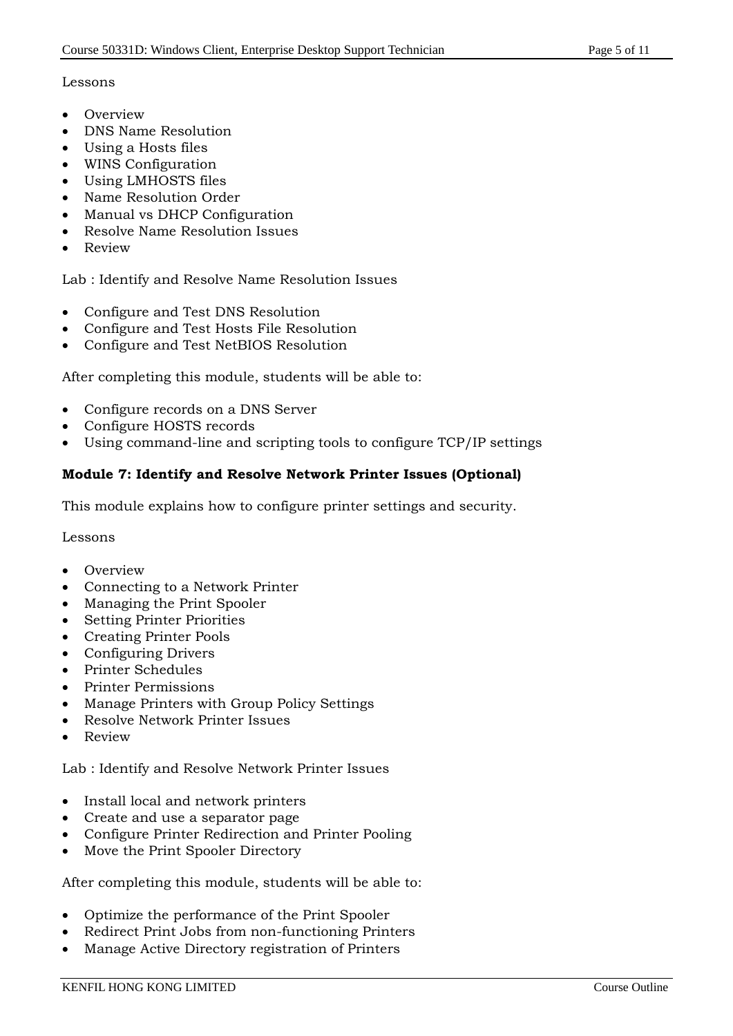## Lessons

- Overview
- DNS Name Resolution
- Using a Hosts files
- WINS Configuration
- Using LMHOSTS files
- Name Resolution Order
- Manual vs DHCP Configuration
- Resolve Name Resolution Issues
- Review

Lab : Identify and Resolve Name Resolution Issues

- Configure and Test DNS Resolution
- Configure and Test Hosts File Resolution
- Configure and Test NetBIOS Resolution

After completing this module, students will be able to:

- Configure records on a DNS Server
- Configure HOSTS records
- Using command-line and scripting tools to configure TCP/IP settings

## **Module 7: Identify and Resolve Network Printer Issues (Optional)**

This module explains how to configure printer settings and security.

Lessons

- Overview
- Connecting to a Network Printer
- Managing the Print Spooler
- Setting Printer Priorities
- Creating Printer Pools
- Configuring Drivers
- Printer Schedules
- Printer Permissions
- Manage Printers with Group Policy Settings
- Resolve Network Printer Issues
- Review

Lab : Identify and Resolve Network Printer Issues

- Install local and network printers
- Create and use a separator page
- Configure Printer Redirection and Printer Pooling
- Move the Print Spooler Directory

After completing this module, students will be able to:

- Optimize the performance of the Print Spooler
- Redirect Print Jobs from non-functioning Printers
- Manage Active Directory registration of Printers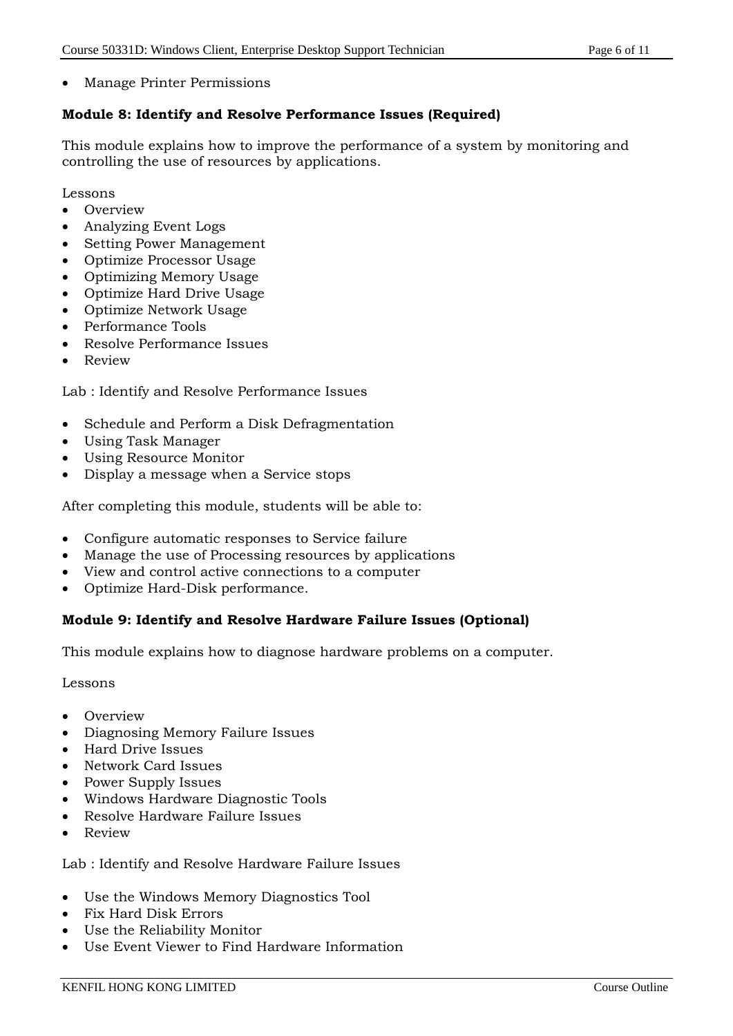Manage Printer Permissions

## **Module 8: Identify and Resolve Performance Issues (Required)**

This module explains how to improve the performance of a system by monitoring and controlling the use of resources by applications.

Lessons

- Overview
- Analyzing Event Logs
- Setting Power Management
- Optimize Processor Usage
- Optimizing Memory Usage
- Optimize Hard Drive Usage
- Optimize Network Usage
- Performance Tools
- Resolve Performance Issues
- Review

Lab : Identify and Resolve Performance Issues

- Schedule and Perform a Disk Defragmentation
- Using Task Manager
- Using Resource Monitor
- Display a message when a Service stops

After completing this module, students will be able to:

- Configure automatic responses to Service failure
- Manage the use of Processing resources by applications
- View and control active connections to a computer
- Optimize Hard-Disk performance.

## **Module 9: Identify and Resolve Hardware Failure Issues (Optional)**

This module explains how to diagnose hardware problems on a computer.

Lessons

- Overview
- Diagnosing Memory Failure Issues
- Hard Drive Issues
- Network Card Issues
- Power Supply Issues
- Windows Hardware Diagnostic Tools
- Resolve Hardware Failure Issues
- Review

Lab : Identify and Resolve Hardware Failure Issues

- Use the Windows Memory Diagnostics Tool
- Fix Hard Disk Errors
- Use the Reliability Monitor
- Use Event Viewer to Find Hardware Information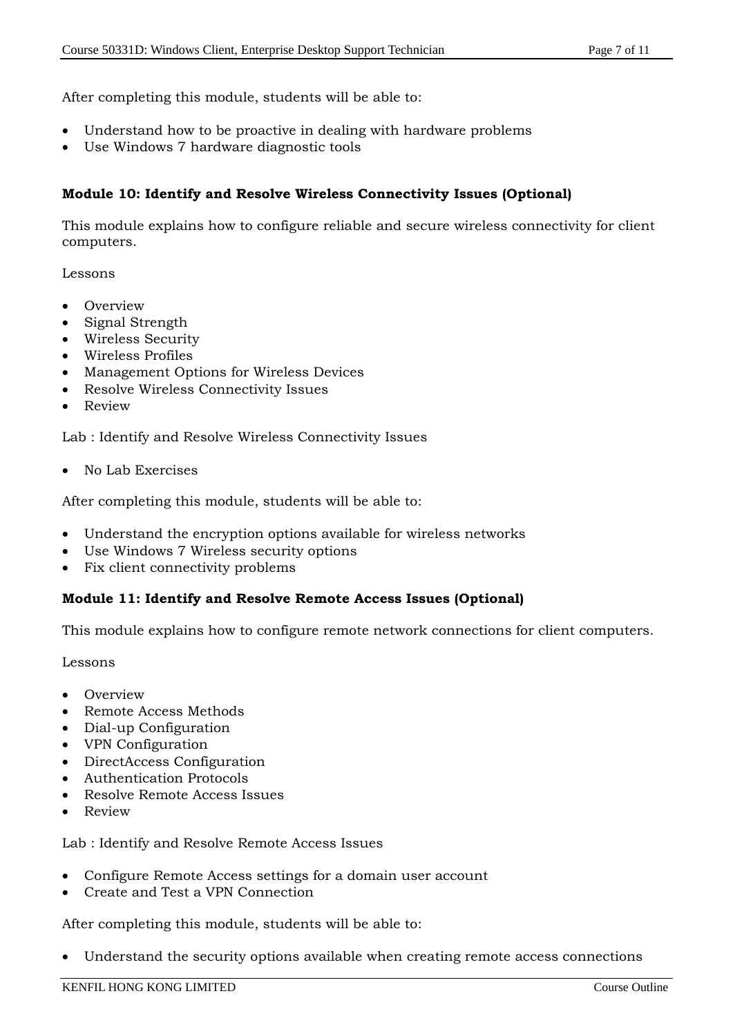After completing this module, students will be able to:

- Understand how to be proactive in dealing with hardware problems
- Use Windows 7 hardware diagnostic tools

#### **Module 10: Identify and Resolve Wireless Connectivity Issues (Optional)**

This module explains how to configure reliable and secure wireless connectivity for client computers.

#### Lessons

- Overview
- Signal Strength
- Wireless Security
- Wireless Profiles
- Management Options for Wireless Devices
- Resolve Wireless Connectivity Issues
- Review

Lab : Identify and Resolve Wireless Connectivity Issues

No Lab Exercises

After completing this module, students will be able to:

- Understand the encryption options available for wireless networks
- Use Windows 7 Wireless security options
- Fix client connectivity problems

#### **Module 11: Identify and Resolve Remote Access Issues (Optional)**

This module explains how to configure remote network connections for client computers.

#### Lessons

- Overview
- Remote Access Methods
- Dial-up Configuration
- VPN Configuration
- DirectAccess Configuration
- Authentication Protocols
- Resolve Remote Access Issues
- Review

Lab : Identify and Resolve Remote Access Issues

- Configure Remote Access settings for a domain user account
- Create and Test a VPN Connection

After completing this module, students will be able to:

Understand the security options available when creating remote access connections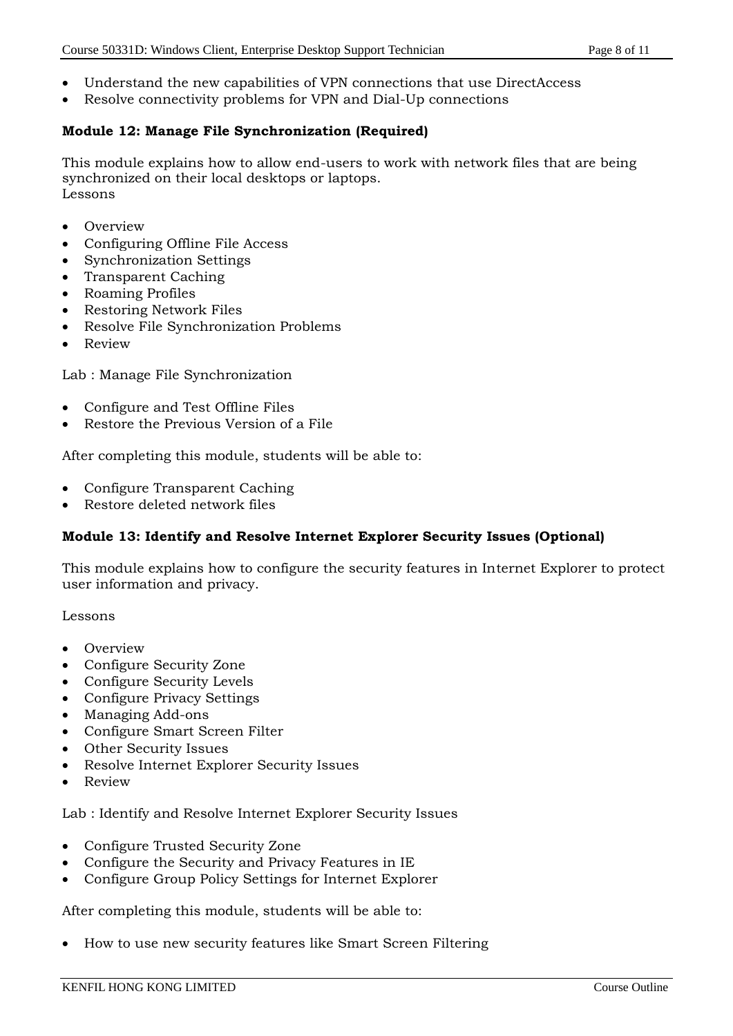- Understand the new capabilities of VPN connections that use DirectAccess
- Resolve connectivity problems for VPN and Dial-Up connections

#### **Module 12: Manage File Synchronization (Required)**

This module explains how to allow end-users to work with network files that are being synchronized on their local desktops or laptops. Lessons

- Overview
- Configuring Offline File Access
- Synchronization Settings
- Transparent Caching
- Roaming Profiles
- Restoring Network Files
- Resolve File Synchronization Problems
- Review

Lab : Manage File Synchronization

- Configure and Test Offline Files
- Restore the Previous Version of a File

After completing this module, students will be able to:

- Configure Transparent Caching
- Restore deleted network files

#### **Module 13: Identify and Resolve Internet Explorer Security Issues (Optional)**

This module explains how to configure the security features in Internet Explorer to protect user information and privacy.

Lessons

- **Overview**
- Configure Security Zone
- Configure Security Levels
- Configure Privacy Settings
- Managing Add-ons
- Configure Smart Screen Filter
- Other Security Issues
- Resolve Internet Explorer Security Issues
- Review

Lab : Identify and Resolve Internet Explorer Security Issues

- Configure Trusted Security Zone
- Configure the Security and Privacy Features in IE
- Configure Group Policy Settings for Internet Explorer

After completing this module, students will be able to:

How to use new security features like Smart Screen Filtering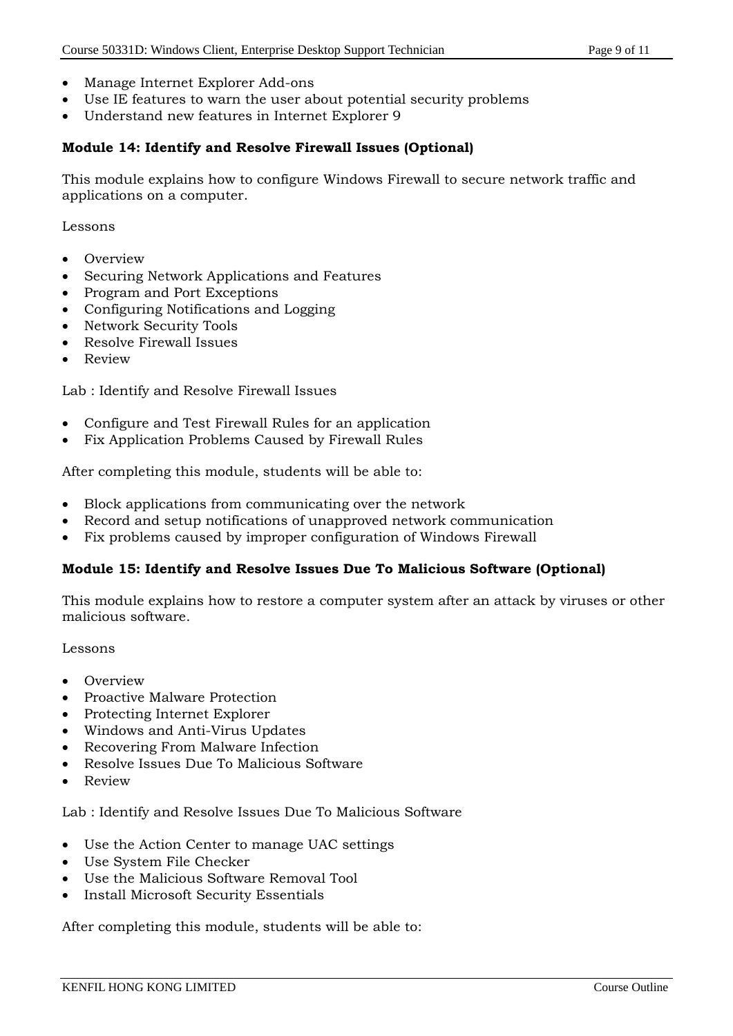- Manage Internet Explorer Add-ons
- Use IE features to warn the user about potential security problems
- Understand new features in Internet Explorer 9

#### **Module 14: Identify and Resolve Firewall Issues (Optional)**

This module explains how to configure Windows Firewall to secure network traffic and applications on a computer.

Lessons

- Overview
- Securing Network Applications and Features
- Program and Port Exceptions
- Configuring Notifications and Logging
- Network Security Tools
- Resolve Firewall Issues
- Review

Lab : Identify and Resolve Firewall Issues

- Configure and Test Firewall Rules for an application
- Fix Application Problems Caused by Firewall Rules

After completing this module, students will be able to:

- Block applications from communicating over the network
- Record and setup notifications of unapproved network communication
- Fix problems caused by improper configuration of Windows Firewall

#### **Module 15: Identify and Resolve Issues Due To Malicious Software (Optional)**

This module explains how to restore a computer system after an attack by viruses or other malicious software.

#### Lessons

- Overview
- Proactive Malware Protection
- Protecting Internet Explorer
- Windows and Anti-Virus Updates
- Recovering From Malware Infection
- Resolve Issues Due To Malicious Software
- Review

Lab : Identify and Resolve Issues Due To Malicious Software

- Use the Action Center to manage UAC settings
- Use System File Checker
- Use the Malicious Software Removal Tool
- Install Microsoft Security Essentials

After completing this module, students will be able to: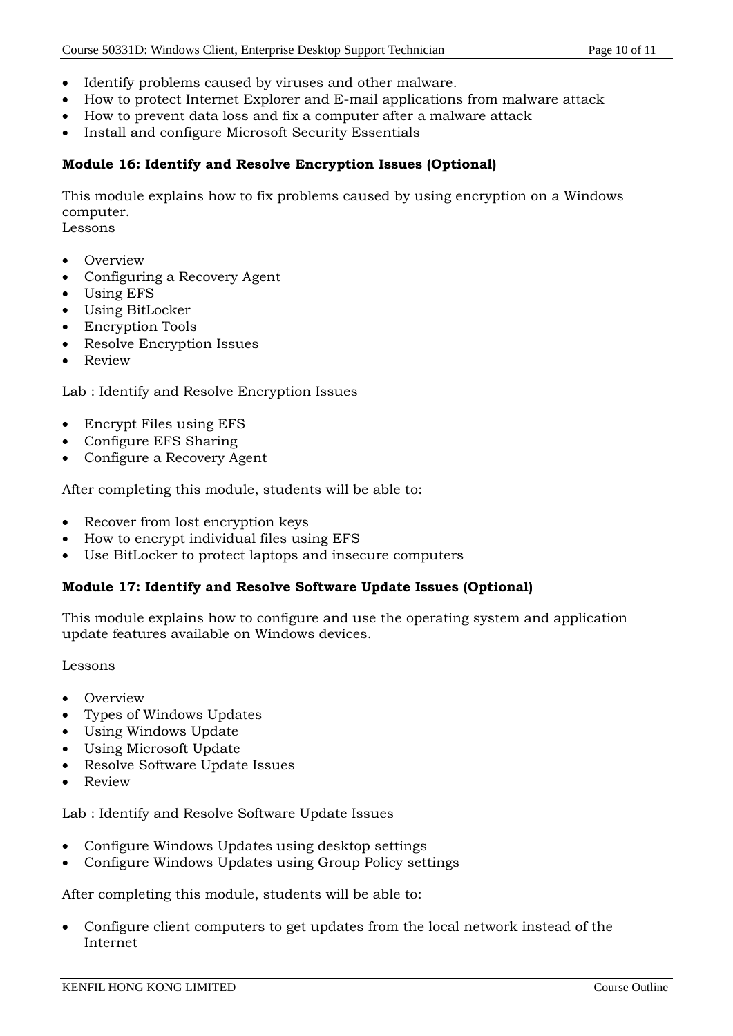- Identify problems caused by viruses and other malware.
- How to protect Internet Explorer and E-mail applications from malware attack
- How to prevent data loss and fix a computer after a malware attack
- Install and configure Microsoft Security Essentials

#### **Module 16: Identify and Resolve Encryption Issues (Optional)**

This module explains how to fix problems caused by using encryption on a Windows computer.

Lessons

- Overview
- Configuring a Recovery Agent
- Using EFS
- Using BitLocker
- Encryption Tools
- Resolve Encryption Issues
- Review

Lab : Identify and Resolve Encryption Issues

- Encrypt Files using EFS
- Configure EFS Sharing
- Configure a Recovery Agent

After completing this module, students will be able to:

- Recover from lost encryption keys
- How to encrypt individual files using EFS
- Use BitLocker to protect laptops and insecure computers

#### **Module 17: Identify and Resolve Software Update Issues (Optional)**

This module explains how to configure and use the operating system and application update features available on Windows devices.

#### Lessons

- Overview
- Types of Windows Updates
- Using Windows Update
- Using Microsoft Update
- Resolve Software Update Issues
- Review

Lab : Identify and Resolve Software Update Issues

- Configure Windows Updates using desktop settings
- Configure Windows Updates using Group Policy settings

After completing this module, students will be able to:

 Configure client computers to get updates from the local network instead of the Internet